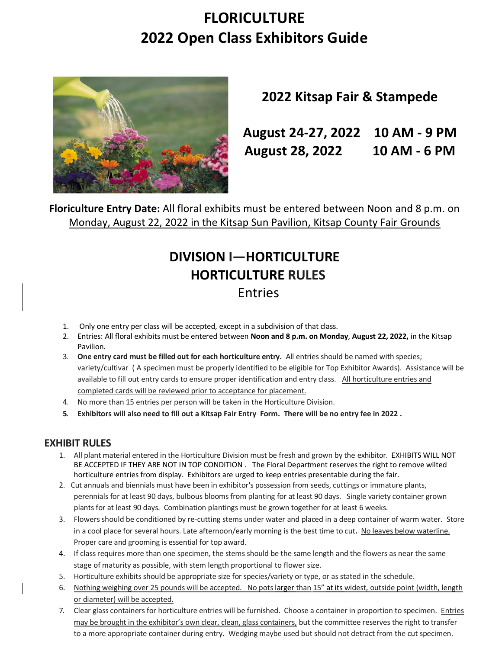# **FLORICULTURE 2022 Open Class Exhibitors Guide**



# **2022 Kitsap Fair & Stampede**

**August 24-27, 2022 10 AM - 9 PM August 28, 2022 10 AM - 6 PM**

**Floriculture Entry Date:** All floral exhibits must be entered between Noon and 8 p.m. on Monday, August 22, 2022 in the Kitsap Sun Pavilion, Kitsap County Fair Grounds

# **DIVISION I—HORTICULTURE HORTICULTURE RULES** Entries

- 1. Only one entry per class will be accepted, except in a subdivision of that class.
- 2. Entries: All floral exhibits must be entered between **Noon and 8 p.m. on Monday**, **August 22, 2022,** in the Kitsap Pavilion.
- 3. **One entry card must be filled out for each horticulture entry.** All entries should be named with species; variety/cultivar ( A specimen must be properly identified to be eligible for Top Exhibitor Awards). Assistance will be available to fill out entry cards to ensure proper identification and entry class. All horticulture entries and completed cards will be reviewed prior to acceptance for placement.
- 4. No more than 15 entries per person will be taken in the Horticulture Division.
- **5. Exhibitors will also need to fill out a Kitsap Fair Entry Form. There will be no entry fee in 2022 .**

#### **EXHIBIT RULES**

- 1. All plant material entered in the Horticulture Division must be fresh and grown by the exhibitor. EXHIBITS WILL NOT BE ACCEPTED IF THEY ARE NOT IN TOP CONDITION . The Floral Department reserves the right to remove wilted horticulture entries from display. Exhibitors are urged to keep entries presentable during the fair.
- 2. Cut annuals and biennials must have been in exhibitor's possession from seeds, cuttings or immature plants, perennials for at least 90 days, bulbous blooms from planting for at least 90 days. Single variety container grown plants for at least 90 days. Combination plantings must be grown together for at least 6 weeks.
- 3. Flowers should be conditioned by re-cutting stems under water and placed in a deep container of warm water. Store in a cool place for several hours. Late afternoon/early morning is the best time to cut**.** No leaves below waterline. Proper care and grooming is essential for top award.
- 4. If class requires more than one specimen, the stems should be the same length and the flowers as near the same stage of maturity as possible, with stem length proportional to flower size.
- 5. Horticulture exhibits should be appropriate size for species/variety or type, or as stated in the schedule.
- 6. Nothing weighing over 25 pounds will be accepted. No pots larger than 15" at its widest, outside point (width, length or diameter) will be accepted.
- 7. Clear glass containers for horticulture entries will be furnished. Choose a container in proportion to specimen. Entries may be brought in the exhibitor's own clear, clean, glass containers, but the committee reserves the right to transfer to a more appropriate container during entry. Wedging maybe used but should not detract from the cut specimen.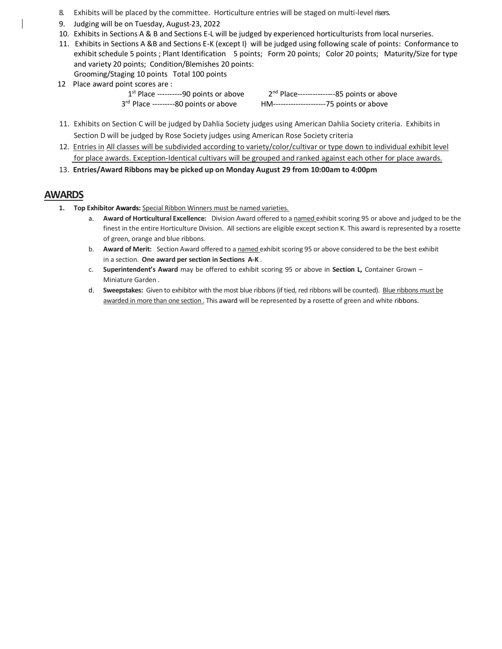- 8. Exhibits will be placed by the committee. Horticulture entries will be staged on multi-level risers.
- 9. Judging will be on Tuesday, August-23, 2022
- 10. Exhibits in Sections A & B and Sections E-L will be judged by experienced horticulturists from local nurseries.
- 11. Exhibits in Sections A &B and Sections E-K (except I) will be judged using following scale of points: Conformance to exhibit schedule 5 points ; Plant Identification 5 points; Form 20 points; Color 20 points; Maturity/Size for type and variety 20 points; Condition/Blemishes 20 points: Grooming/Staging 10 points Total 100 points
- 12 Place award point scores are :

 $\sim$  1  $1<sup>st</sup>$  Place ----------90 points or above 3rd Place ---------80 points or above

2<sup>nd</sup> Place----------------85 points or above rd Place ---------80 points or above HM---------------------75 points or above

- 11. Exhibits on Section C will be judged by Dahlia Society judges using American Dahlia Society criteria. Exhibits in Section D will be judged by Rose Society judges using American Rose Society criteria
- 12. Entries in All classes will be subdivided according to variety/color/cultivar or type down to individual exhibit level for place awards. Exception-Identical cultivars will be grouped and ranked against each other for place awards.
- 13. **Entries/Award Ribbons may be picked up on Monday August 29 from 10:00am to 4:00pm**

#### **AWARDS**

- **1. Top Exhibitor Awards:** Special Ribbon Winners must be named varieties.
	- a. **Award of Horticultural Excellence:** Division Award offered to a named exhibit scoring 95 or above and judged to be the finest in the entire Horticulture Division. All sections are eligible except section K. This award is represented by a rosette of green, orange and blue ribbons.
	- b. **Award of Merit:** Section Award offered to a named exhibit scoring 95 or above considered to be the best exhibit in a section. **One award per section in Sections A-K** .
	- c. **Superintendent's Award** may be offered to exhibit scoring 95 or above in **Section L,** Container Grown Miniature Garden .
	- d. **Sweepstakes:** Given to exhibitor with the most blue ribbons (if tied, red ribbons will be counted). Blue ribbons must be awarded in more than one section . This award will be represented by a rosette of green and white ribbons.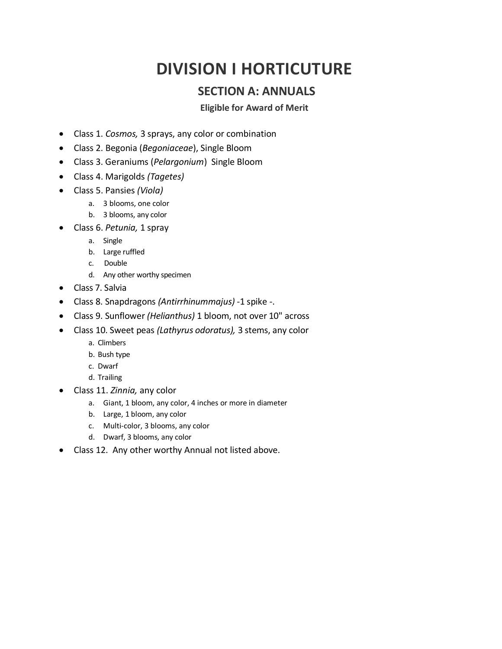# **DIVISION I HORTICUTURE**

### **SECTION A: ANNUALS**

#### **Eligible for Award of Merit**

- Class 1. *Cosmos,* 3 sprays, any color or combination
- Class 2. Begonia (*Begoniaceae*), Single Bloom
- Class 3. Geraniums (*Pelargonium*) Single Bloom
- Class 4. Marigolds *(Tagetes)*
- Class 5. Pansies *(Viola)*
	- a. 3 blooms, one color
	- b. 3 blooms, any color
- Class 6. *Petunia,* 1 spray
	- a. Single
	- b. Large ruffled
	- c. Double
	- d. Any other worthy specimen
- Class 7. Salvia
- Class 8. Snapdragons *(Antirrhinummajus) -*1 spike -.
- Class 9. Sunflower *(Helianthus)* 1 bloom, not over 10" across
- Class 10. Sweet peas *(Lathyrus odoratus),* 3 stems, any color
	- a. Climbers
	- b. Bush type
	- c. Dwarf
	- d. Trailing
- Class 11. *Zinnia,* any color
	- a. Giant, 1 bloom, any color, 4 inches or more in diameter
	- b. Large, 1 bloom, any color
	- c. Multi-color, 3 blooms, any color
	- d. Dwarf, 3 blooms, any color
- Class 12. Any other worthy Annual not listed above.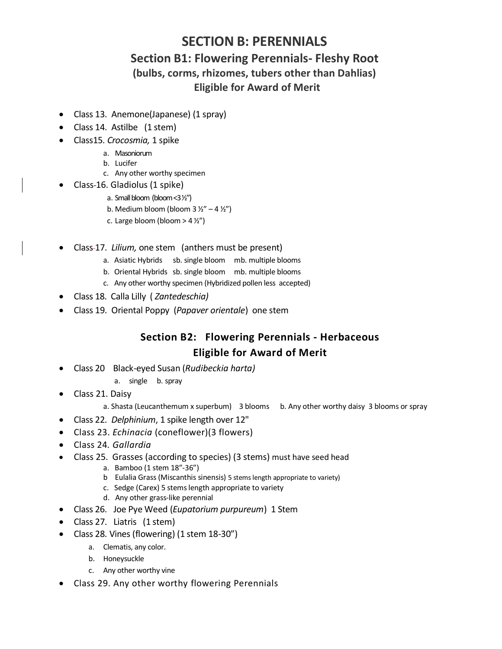# **SECTION B: PERENNIALS**

## **Section B1: Flowering Perennials- Fleshy Root (bulbs, corms, rhizomes, tubers other than Dahlias) Eligible for Award of Merit**

- Class 13. Anemone(Japanese) (1 spray)
- Class 14. Astilbe (1 stem)
- Class15. *Crocosmia,* 1 spike
	- a. Masoniorum
	- b. Lucifer
	- c. Any other worthy specimen
	- Class 16. Gladiolus (1 spike)
		- a. Small bloom (bloom <3 ½")
		- b. Medium bloom (bloom  $3\frac{1}{2} 4\frac{1}{2}$ )
		- c. Large bloom (bloom  $>$  4  $\frac{1}{2}$ ")
- Class 17. *Lilium,* one stem (anthers must be present)
	- a. Asiatic Hybrids sb. single bloom mb. multiple blooms
	- b. Oriental Hybrids sb. single bloom mb. multiple blooms
	- c. Any other worthy specimen (Hybridized pollen less accepted)
- Class 18. Calla Lilly ( *Zantedeschia)*
- Class 19. Oriental Poppy (*Papaver orientale*) one stem

### **Section B2: Flowering Perennials - Herbaceous Eligible for Award of Merit**

- Class 20 Black-eyed Susan (*Rudibeckia harta)*
	- a. single b. spray
- Class 21. Daisy
	- a. Shasta (Leucanthemum x superbum) 3 blooms b. Any other worthy daisy 3 blooms or spray
- Class 22. *Delphinium*, 1 spike length over 12"
- Class 23. *Echinacia* (coneflower)(3 flowers)
- Class 24*. Gallardia*
- Class 25. Grasses (according to species) (3 stems) must have seed head
	- a. Bamboo (1 stem 18"-36")
		- b Eulalia Grass (Miscanthis sinensis) 5 stems length appropriate to variety)
		- c. Sedge (Carex) 5 stems length appropriate to variety
		- d. Any other grass-like perennial
- Class 26. Joe Pye Weed (*Eupatorium purpureum*) 1 Stem
- Class 27. Liatris (1 stem)
- Class 28. Vines (flowering) (1 stem 18-30")
	- a. Clematis, any color.
	- b. Honeysuckle
	- c. Any other worthy vine
- Class 29. Any other worthy flowering Perennials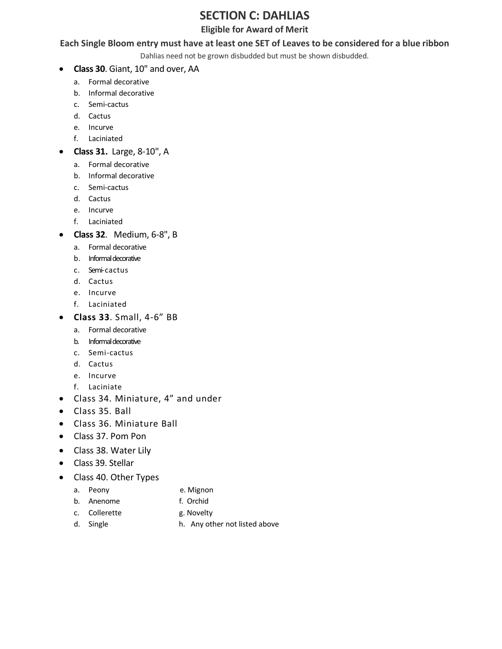## **SECTION C: DAHLIAS**

#### **Eligible for Award of Merit**

#### **Each Single Bloom entry must have at least one SET of Leaves to be considered for a blue ribbon**

Dahlias need not be grown disbudded but must be shown disbudded.

- **Class 30**. Giant, 10" and over, AA
	- a. Formal decorative
	- b. Informal decorative
	- c. Semi-cactus
	- d. Cactus
	- e. Incurve
	- f. Laciniated
- **Class 31.** Large, 8-10", A
	- a. Formal decorative
	- b. Informal decorative
	- c. Semi-cactus
	- d. Cactus
	- e. Incurve
	- f. Laciniated
- **Class 32**. Medium, 6-8", B
	- a. Formal decorative
	- b. Informal decorative
	- c. Semi-cactus
	- d. Cactus
	- e. Incurve
	- f. Laciniated
- **Class 33**. Small, 4-6" BB
	- a. Formal decorative
	- b. Informal decorative
	- c. Semi-cactus
	- d. Cactus
	- e. Incurve
	- f. Laciniate
- Class 34. Miniature, 4" and under
- Class 35. Ball
- Class 36. Miniature Ball
- Class 37. Pom Pon
- Class 38. Water Lily
- Class 39. Stellar
- Class 40. Other Types
	- a. Peony **e. Mignon** 
		-
	- b. Anenome f. Orchid
		-
	- c. Collerette g. Novelty
	-
	- d. Single h. Any other not listed above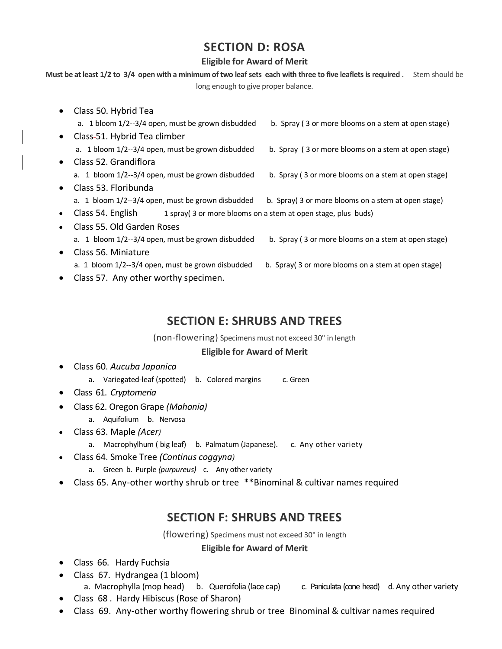## **SECTION D: ROSA**

#### **Eligible for Award of Merit**

**Must be at least 1/2 to 3/4 open with a minimum of two leaf sets each with three to five leaflets is required** . Stem should be long enough to give proper balance.

• Class 50. Hybrid Tea

|           | a. 1 bloom 1/2--3/4 open, must be grown disbudded                                 | b. Spray (3 or more blooms on a stem at open stage) |  |
|-----------|-----------------------------------------------------------------------------------|-----------------------------------------------------|--|
| $\bullet$ | Class-51. Hybrid Tea climber                                                      |                                                     |  |
|           | a. 1 bloom 1/2--3/4 open, must be grown disbudded                                 | b. Spray (3 or more blooms on a stem at open stage) |  |
| $\bullet$ | Class-52. Grandiflora                                                             |                                                     |  |
|           | a. 1 bloom 1/2--3/4 open, must be grown disbudded                                 | b. Spray (3 or more blooms on a stem at open stage) |  |
| $\bullet$ | Class 53. Floribunda                                                              |                                                     |  |
|           | a. 1 bloom 1/2--3/4 open, must be grown disbudded                                 | b. Spray (3 or more blooms on a stem at open stage) |  |
| $\bullet$ | Class 54. English<br>1 spray(3 or more blooms on a stem at open stage, plus buds) |                                                     |  |
| $\bullet$ | Class 55, Old Garden Roses                                                        |                                                     |  |
|           | a. 1 bloom 1/2--3/4 open, must be grown disbudded                                 | b. Spray (3 or more blooms on a stem at open stage) |  |
| $\bullet$ | Class 56. Miniature                                                               |                                                     |  |
|           | a. 1 bloom 1/2--3/4 open, must be grown disbudded                                 | b. Spray (3 or more blooms on a stem at open stage) |  |

• Class 57. Any other worthy specimen.

## **SECTION E: SHRUBS AND TREES**

(non-flowering) Specimens must not exceed 30" in length

#### **Eligible for Award of Merit**

- Class 60. *Aucuba Japonica*
	- a. Variegated-leaf (spotted) b. Colored margins c. Green
- Class 61. *Cryptomeria*
- Class 62. Oregon Grape *(Mahonia)*
	- a. Aquifolium b. Nervosa
- Class 63. Maple *(Acer)*
	- a. Macrophylhum ( big leaf) b. Palmatum (Japanese). c. Any other variety
- Class 64. Smoke Tree *(Continus coggyna)*
	- a. Green b. Purple *(purpureus)* c. Any other variety
- Class 65. Any-other worthy shrub or tree \*\*Binominal & cultivar names required

# **SECTION F: SHRUBS AND TREES**

(flowering) Specimens must not exceed 30" in length

#### **Eligible for Award of Merit**

- Class 66. Hardy Fuchsia
- Class 67. Hydrangea (1 bloom) a. Macrophylla (mop head) b. Quercifolia (lace cap) c. Paniculata (cone head) d. Any other variety
- Class 68 . Hardy Hibiscus (Rose of Sharon)
- Class 69. Any-other worthy flowering shrub or tree Binominal & cultivar names required
- 
- -
- 
- 
-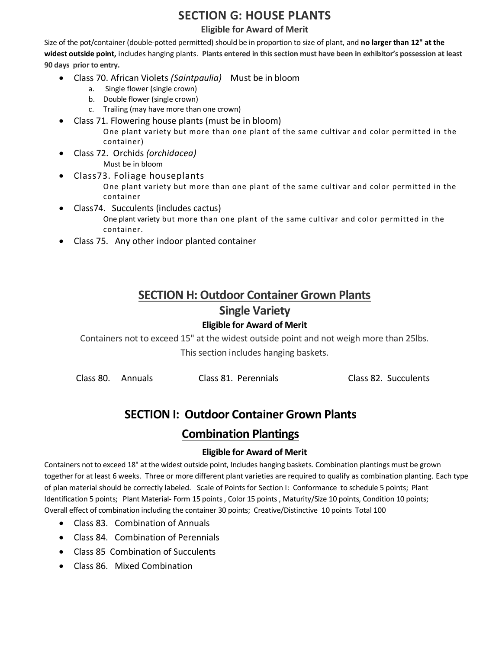## **SECTION G: HOUSE PLANTS**

#### **Eligible for Award of Merit**

Size of the pot/container (double-potted permitted) should be in proportion to size of plant, and **no larger than 12" at the widest outside point,** includes hanging plants. **Plants entered in this section must have been in exhibitor's possession at least 90 days prior to entry.**

- Class 70. African Violets *(Saintpaulia)* Must be in bloom
	- a. Single flower (single crown)
	- b. Double flower (single crown)
	- c. Trailing (may have more than one crown)
- Class 71. Flowering house plants (must be in bloom)
	- One plant variety but more than one plant of the same cultivar and color permitted in the container)
- Class 72. Orchids *(orchidacea)*  Must be in bloom
- Class73. Foliage houseplants
	- One plant variety but more than one plant of the same cultivar and color permitted in the container
- Class74. Succulents (includes cactus) One plant variety but more than one plant of the same cultivar and color permitted in the container.
- Class 75. Any other indoor planted container

# **SECTION H: Outdoor Container Grown Plants Single Variety**

#### **Eligible for Award of Merit**

Containers not to exceed 15" at the widest outside point and not weigh more than 25lbs. This section includes hanging baskets.

| Class 80. Annuals |  | Class 81. Perennials | Class 82. Succulents |
|-------------------|--|----------------------|----------------------|
|-------------------|--|----------------------|----------------------|

# **SECTION I: Outdoor Container Grown Plants**

### **Combination Plantings**

#### **Eligible for Award of Merit**

Containers not to exceed 18" at the widest outside point, Includes hanging baskets. Combination plantings must be grown together for at least 6 weeks. Three or more different plant varieties are required to qualify as combination planting. Each type of plan material should be correctly labeled. Scale of Points for Section I: Conformance to schedule 5 points; Plant Identification 5 points; Plant Material- Form 15 points , Color 15 points , Maturity/Size 10 points, Condition 10 points; Overall effect of combination including the container 30 points; Creative/Distinctive 10 points Total 100

- Class 83. Combination of Annuals
- Class 84. Combination of Perennials
- Class 85 Combination of Succulents
- Class 86. Mixed Combination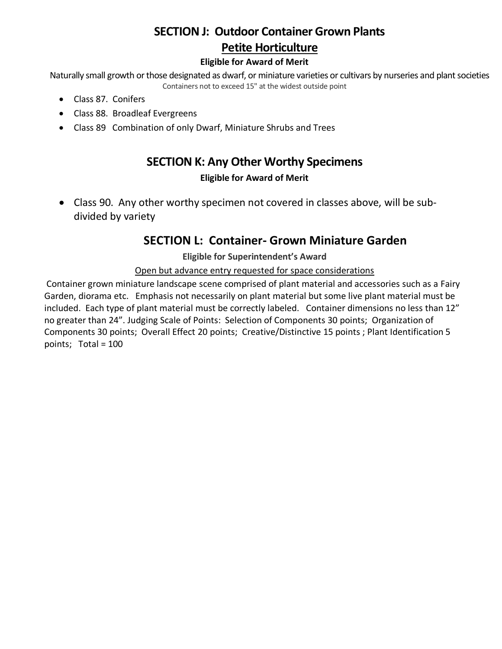# **SECTION J: Outdoor Container Grown Plants Petite Horticulture**

#### **Eligible for Award of Merit**

Naturally small growth or those designated as dwarf, or miniature varieties or cultivars by nurseries and plant societies Containers not to exceed 15" at the widest outside point

- Class 87. Conifers
- Class 88. Broadleaf Evergreens
- Class 89 Combination of only Dwarf, Miniature Shrubs and Trees

### **SECTION K: Any Other Worthy Specimens**

#### **Eligible for Award of Merit**

• Class 90. Any other worthy specimen not covered in classes above, will be subdivided by variety

## **SECTION L: Container- Grown Miniature Garden**

**Eligible for Superintendent's Award**

#### Open but advance entry requested for space considerations

Container grown miniature landscape scene comprised of plant material and accessories such as a Fairy Garden, diorama etc. Emphasis not necessarily on plant material but some live plant material must be included. Each type of plant material must be correctly labeled. Container dimensions no less than 12" no greater than 24". Judging Scale of Points: Selection of Components 30 points; Organization of Components 30 points; Overall Effect 20 points; Creative/Distinctive 15 points ; Plant Identification 5 points; Total = 100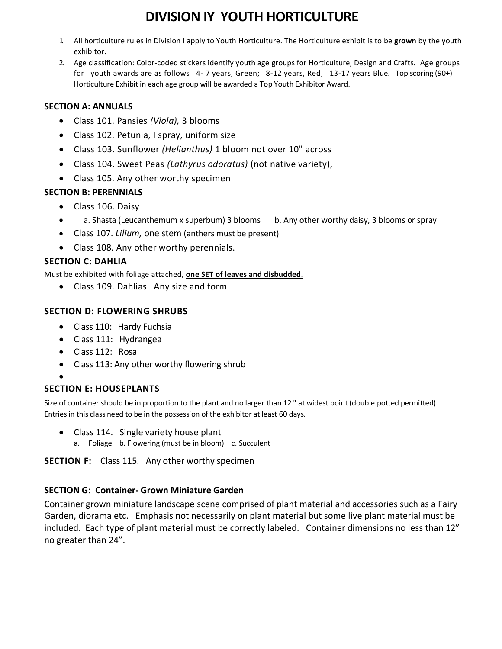# **DIVISION IY YOUTH HORTICULTURE**

- 1. All horticulture rules in Division I apply to Youth Horticulture. The Horticulture exhibit is to be **grown** by the youth exhibitor.
- 2. Age classification: Color-coded stickers identify youth age groups for Horticulture, Design and Crafts. Age groups for youth awards are as follows 4- 7 years, Green; 8-12 years, Red; 13-17 years Blue. Top scoring (90+) Horticulture Exhibit in each age group will be awarded a Top Youth Exhibitor Award.

#### **SECTION A: ANNUALS**

- Class 101. Pansies *(Viola),* 3 blooms
- Class 102. Petunia, I spray, uniform size
- Class 103. Sunflower *(Helianthus)* 1 bloom not over 10" across
- Class 104. Sweet Peas *(Lathyrus odoratus)* (not native variety),
- Class 105. Any other worthy specimen

#### **SECTION B: PERENNIALS**

- Class 106. Daisy
- a. Shasta (Leucanthemum x superbum) 3 blooms b. Any other worthy daisy, 3 blooms or spray
- Class 107. *Lilium,* one stem (anthers must be present)
- Class 108. Any other worthy perennials.

#### **SECTION C: DAHLIA**

Must be exhibited with foliage attached, **one SET of leaves and disbudded.**

• Class 109. Dahlias Any size and form

#### **SECTION D: FLOWERING SHRUBS**

- Class 110: Hardy Fuchsia
- Class 111: Hydrangea
- Class 112: Rosa
- Class 113: Any other worthy flowering shrub

#### • **SECTION E: HOUSEPLANTS**

Size of container should be in proportion to the plant and no larger than 12 " at widest point (double potted permitted). Entries in this class need to be in the possession of the exhibitor at least 60 days.

- Class 114. Single variety house plant
	- a. Foliage b. Flowering (must be in bloom) c. Succulent

**SECTION F:** Class 115. Any other worthy specimen

#### **SECTION G: Container- Grown Miniature Garden**

Container grown miniature landscape scene comprised of plant material and accessories such as a Fairy Garden, diorama etc. Emphasis not necessarily on plant material but some live plant material must be included. Each type of plant material must be correctly labeled. Container dimensions no less than 12" no greater than 24".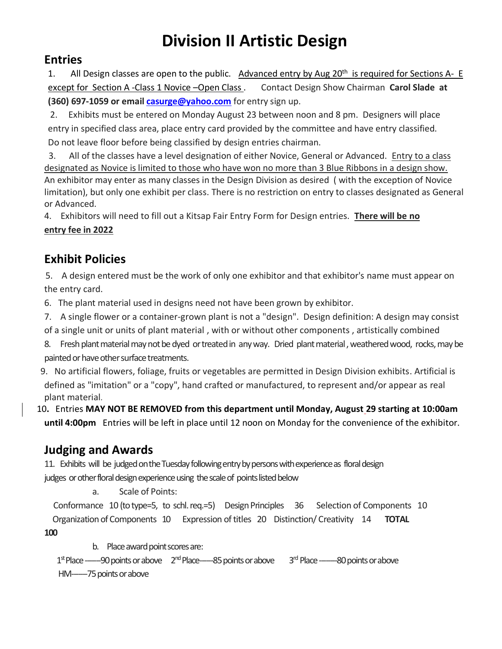# **Division II Artistic Design**

## **Entries**

1. All Design classes are open to the public. Advanced entry by Aug 20<sup>th</sup> is required for Sections A- E except for Section A -Class 1 Novice –Open Class . Contact Design Show Chairman **Carol Slade at (360) 697-1059 or emai[l casurge@yahoo.com](mailto:casurge@yahoo.com)** for entry sign up.

2. Exhibits must be entered on Monday August 23 between noon and 8 pm. Designers will place entry in specified class area, place entry card provided by the committee and have entry classified. Do not leave floor before being classified by design entries chairman.

 3. All of the classes have a level designation of either Novice, General or Advanced. Entry to a class designated as Novice is limited to those who have won no more than 3 Blue Ribbons in a design show. An exhibitor may enter as many classes in the Design Division as desired ( with the exception of Novice limitation), but only one exhibit per class. There is no restriction on entry to classes designated as General or Advanced.

4. Exhibitors will need to fill out a Kitsap Fair Entry Form for Design entries. **There will be no entry fee in 2022**

# **Exhibit Policies**

 5. A design entered must be the work of only one exhibitor and that exhibitor's name must appear on the entry card.

6. The plant material used in designs need not have been grown by exhibitor.

- 7. A single flower or a container-grown plant is not a "design". Design definition: A design may consist
- of a single unit or units of plant material , with or without other components , artistically combined
- 8. Fresh plant material may not be dyed or treated in any way. Dried plant material , weathered wood, rocks, may be painted or have other surface treatments.
- 9. No artificial flowers, foliage, fruits or vegetables are permitted in Design Division exhibits. Artificial is defined as "imitation" or a "copy", hand crafted or manufactured, to represent and/or appear as real plant material.
- 10**.** Entries **MAY NOT BE REMOVED from this department until Monday, August 29 starting at 10:00am until 4:00pm** Entries will be left in place until 12 noon on Monday for the convenience of the exhibitor.

# **Judging and Awards**

11. Exhibits will be judged on the Tuesday following entry by persons with experience as floral design judges or other floral design experience using the scale of points listed below

a. Scale of Points:

 Conformance 10 (to type=5, to schl. req.=5) Design Principles 36 Selection of Components 10 Organization of Components 10 Expression of titles 20 Distinction/ Creativity 14 **TOTAL 100** 

b. Place award point scores are:

1<sup>st</sup> Place -----90 points or above 2<sup>nd</sup> Place-----85 points or above 3<sup>rd</sup> Place --------80 points or above HM-------75 points or above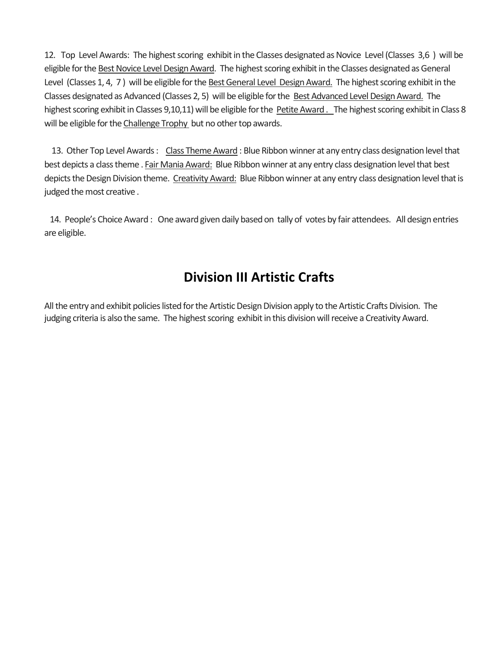12. Top Level Awards: The highest scoring exhibit in the Classes designated as Novice Level (Classes 3,6 ) will be eligible for the Best Novice Level Design Award. The highest scoring exhibit in the Classes designated as General Level (Classes 1, 4, 7 ) will be eligible for the Best General Level Design Award. The highest scoring exhibit in the Classes designated as Advanced (Classes 2, 5) will be eligible for the Best Advanced Level Design Award. The highest scoring exhibit in Classes 9,10,11) will be eligible for the Petite Award . The highest scoring exhibit in Class 8 will be eligible for the Challenge Trophy but no other top awards.

 13. Other Top Level Awards : Class Theme Award : Blue Ribbon winner at any entry class designation level that best depicts a class theme. Fair Mania Award: Blue Ribbon winner at any entry class designation level that best depicts the Design Division theme. Creativity Award: Blue Ribbon winner at any entry class designation level that is judged the most creative .

 14. People's Choice Award : One award given daily based on tally of votes by fair attendees. All design entries are eligible.

# **Division III Artistic Crafts**

All the entry and exhibit policies listed for the Artistic Design Division apply to the Artistic Crafts Division. The judging criteria is also the same. The highest scoring exhibit in this division will receive a Creativity Award.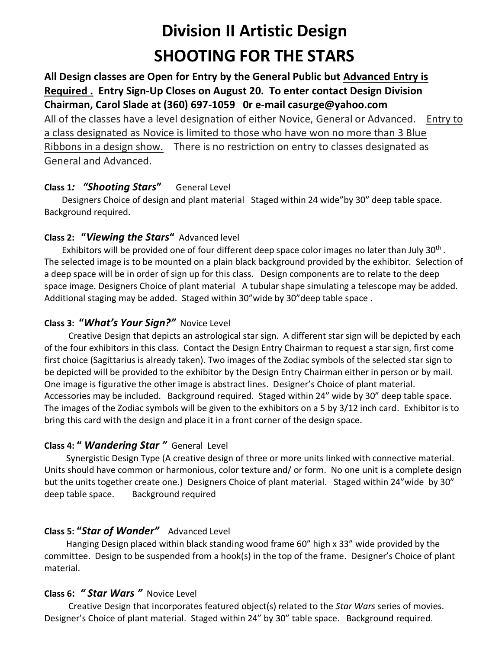# **Division II Artistic Design SHOOTING FOR THE STARS**

# **All Design classes are Open for Entry by the General Public but Advanced Entry is Required . Entry Sign-Up Closes on August 20. To enter contact Design Division Chairman, Carol Slade at (360) 697-1059 0r e-mail casurge@yahoo.com**

All of the classes have a level designation of either Novice, General or Advanced. Entry to a class designated as Novice is limited to those who have won no more than 3 Blue Ribbons in a design show. There is no restriction on entry to classes designated as General and Advanced.

### **Class 1***: "Shooting Stars***"** General Level

 Designers Choice of design and plant material Staged within 24 wide"by 30" deep table space. Background required.

### **Class 2: "***Viewing the Stars***"** Advanced level

Exhibitors will be provided one of four different deep space color images no later than July 30<sup>th</sup>. The selected image is to be mounted on a plain black background provided by the exhibitor. Selection of a deep space will be in order of sign up for this class. Design components are to relate to the deep space image. Designers Choice of plant material A tubular shape simulating a telescope may be added. Additional staging may be added. Staged within 30"wide by 30"deep table space.

### **Class 3: "***What's Your Sign?"* Novice Level

 Creative Design that depicts an astrological star sign. A different star sign will be depicted by each of the four exhibitors in this class. Contact the Design Entry Chairman to request a star sign, first come first choice (Sagittarius is already taken). Two images of the Zodiac symbols of the selected star sign to be depicted will be provided to the exhibitor by the Design Entry Chairman either in person or by mail. One image is figurative the other image is abstract lines. Designer's Choice of plant material. Accessories may be included. Background required. Staged within 24" wide by 30" deep table space. The images of the Zodiac symbols will be given to the exhibitors on a 5 by 3/12 inch card. Exhibitor is to bring this card with the design and place it in a front corner of the design space.

### **Class 4: "** *Wandering Star "* General Level

 Synergistic Design Type (A creative design of three or more units linked with connective material. Units should have common or harmonious, color texture and/ or form. No one unit is a complete design but the units together create one.) Designers Choice of plant material. Staged within 24"wide by 30" deep table space. Background required

### **Class 5: "***Star of Wonder"* Advanced Level

 Hanging Design placed within black standing wood frame 60" high x 33" wide provided by the committee. Design to be suspended from a hook(s) in the top of the frame. Designer's Choice of plant material.

### **Class 6:** *" Star Wars "* Novice Level

 Creative Design that incorporates featured object(s) related to the *Star Wars* series of movies. Designer's Choice of plant material. Staged within 24" by 30" table space. Background required.